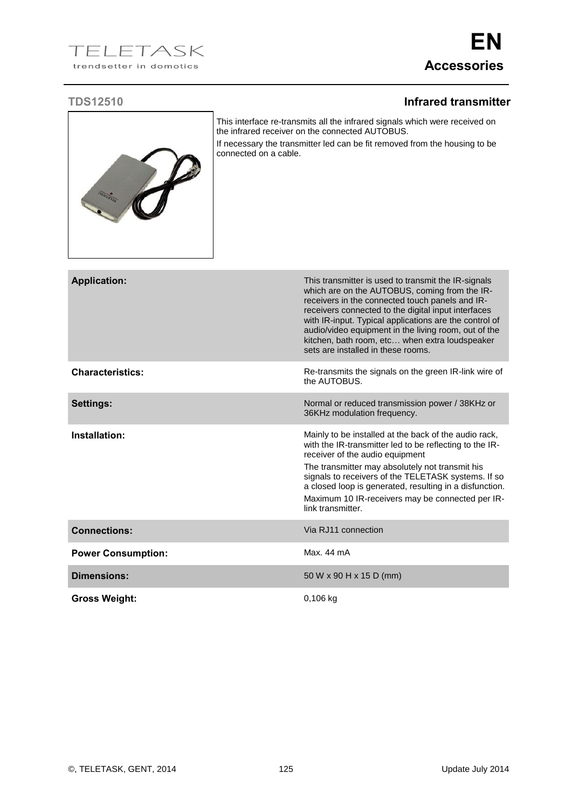## TELETASK trendsetter in domotics

## **TDS12510 Infrared transmitter**



This interface re-transmits all the infrared signals which were received on the infrared receiver on the connected AUTOBUS. If necessary the transmitter led can be fit removed from the housing to be connected on a cable.

| <b>Application:</b>       | This transmitter is used to transmit the IR-signals<br>which are on the AUTOBUS, coming from the IR-<br>receivers in the connected touch panels and IR-<br>receivers connected to the digital input interfaces<br>with IR-input. Typical applications are the control of<br>audio/video equipment in the living room, out of the<br>kitchen, bath room, etc when extra loudspeaker<br>sets are installed in these rooms. |
|---------------------------|--------------------------------------------------------------------------------------------------------------------------------------------------------------------------------------------------------------------------------------------------------------------------------------------------------------------------------------------------------------------------------------------------------------------------|
| <b>Characteristics:</b>   | Re-transmits the signals on the green IR-link wire of<br>the AUTOBUS.                                                                                                                                                                                                                                                                                                                                                    |
| <b>Settings:</b>          | Normal or reduced transmission power / 38KHz or<br>36KHz modulation frequency.                                                                                                                                                                                                                                                                                                                                           |
| Installation:             | Mainly to be installed at the back of the audio rack,<br>with the IR-transmitter led to be reflecting to the IR-<br>receiver of the audio equipment<br>The transmitter may absolutely not transmit his<br>signals to receivers of the TELETASK systems. If so<br>a closed loop is generated, resulting in a disfunction.<br>Maximum 10 IR-receivers may be connected per IR-<br>link transmitter.                        |
| <b>Connections:</b>       | Via RJ11 connection                                                                                                                                                                                                                                                                                                                                                                                                      |
| <b>Power Consumption:</b> | Max. 44 mA                                                                                                                                                                                                                                                                                                                                                                                                               |
| Dimensions:               | 50 W x 90 H x 15 D (mm)                                                                                                                                                                                                                                                                                                                                                                                                  |
| <b>Gross Weight:</b>      | $0,106$ kg                                                                                                                                                                                                                                                                                                                                                                                                               |